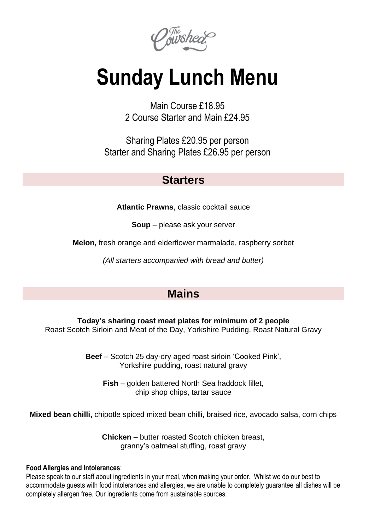Ogwshed

# **Sunday Lunch Menu**

Main Course £18.95 2 Course Starter and Main £24.95

Sharing Plates £20.95 per person Starter and Sharing Plates £26.95 per person

### **Starters**

**Atlantic Prawns**, classic cocktail sauce

**Soup** – please ask your server

**Melon,** fresh orange and elderflower marmalade, raspberry sorbet

*(All starters accompanied with bread and butter)*

## **Mains**

**Today's sharing roast meat plates for minimum of 2 people** Roast Scotch Sirloin and Meat of the Day, Yorkshire Pudding, Roast Natural Gravy

> **Beef** – Scotch 25 day-dry aged roast sirloin 'Cooked Pink', Yorkshire pudding, roast natural gravy

**Fish** – golden battered North Sea haddock fillet, chip shop chips, tartar sauce

**Mixed bean chilli,** chipotle spiced mixed bean chilli, braised rice, avocado salsa, corn chips

**Chicken** – butter roasted Scotch chicken breast, granny's oatmeal stuffing, roast gravy

#### **Food Allergies and Intolerances**:

Please speak to our staff about ingredients in your meal, when making your order. Whilst we do our best to accommodate guests with food intolerances and allergies, we are unable to completely guarantee all dishes will be completely allergen free. Our ingredients come from sustainable sources.